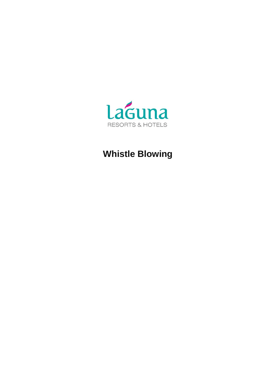

# **Whistle Blowing**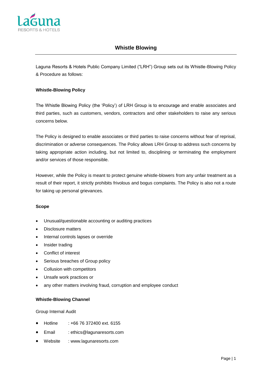

# **Whistle Blowing**

Laguna Resorts & Hotels Public Company Limited ("LRH") Group sets out its Whistle-Blowing Policy & Procedure as follows:

# **Whistle-Blowing Policy**

The Whistle Blowing Policy (the 'Policy') of LRH Group is to encourage and enable associates and third parties, such as customers, vendors, contractors and other stakeholders to raise any serious concerns below.

The Policy is designed to enable associates or third parties to raise concerns without fear of reprisal, discrimination or adverse consequences. The Policy allows LRH Group to address such concerns by taking appropriate action including, but not limited to, disciplining or terminating the employment and/or services of those responsible.

However, while the Policy is meant to protect genuine whistle-blowers from any unfair treatment as a result of their report, it strictly prohibits frivolous and bogus complaints. The Policy is also not a route for taking up personal grievances.

#### **Scope**

- Unusual/questionable accounting or auditing practices
- Disclosure matters
- Internal controls lapses or override
- Insider trading
- Conflict of interest
- Serious breaches of Group policy
- Collusion with competitors
- Unsafe work practices or
- any other matters involving fraud, corruption and employee conduct

#### **Whistle-Blowing Channel**

Group Internal Audit

- Hotline : +66 76 372400 ext. 6155
- Email : [ethics@lagunaresorts.com](mailto:ethics@lagunaresorts.com)
- Website : www.lagunaresorts.com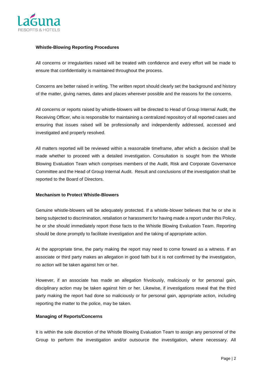

### **Whistle-Blowing Reporting Procedures**

All concerns or irregularities raised will be treated with confidence and every effort will be made to ensure that confidentiality is maintained throughout the process.

Concerns are better raised in writing. The written report should clearly set the background and history of the matter, giving names, dates and places wherever possible and the reasons for the concerns.

All concerns or reports raised by whistle-blowers will be directed to Head of Group Internal Audit, the Receiving Officer, who is responsible for maintaining a centralized repository of all reported cases and ensuring that issues raised will be professionally and independently addressed, accessed and investigated and properly resolved.

All matters reported will be reviewed within a reasonable timeframe, after which a decision shall be made whether to proceed with a detailed investigation. Consultation is sought from the Whistle Blowing Evaluation Team which comprises members of the Audit, Risk and Corporate Governance Committee and the Head of Group Internal Audit. Result and conclusions of the investigation shall be reported to the Board of Directors.

# **Mechanism to Protect Whistle-Blowers**

Genuine whistle-blowers will be adequately protected. If a whistle-blower believes that he or she is being subjected to discrimination, retaliation or harassment for having made a report under this Policy, he or she should immediately report those facts to the Whistle Blowing Evaluation Team. Reporting should be done promptly to facilitate investigation and the taking of appropriate action.

At the appropriate time, the party making the report may need to come forward as a witness. If an associate or third party makes an allegation in good faith but it is not confirmed by the investigation, no action will be taken against him or her.

However, if an associate has made an allegation frivolously, maliciously or for personal gain, disciplinary action may be taken against him or her. Likewise, if investigations reveal that the third party making the report had done so maliciously or for personal gain, appropriate action, including reporting the matter to the police, may be taken.

#### **Managing of Reports/Concerns**

It is within the sole discretion of the Whistle Blowing Evaluation Team to assign any personnel of the Group to perform the investigation and/or outsource the investigation, where necessary. All